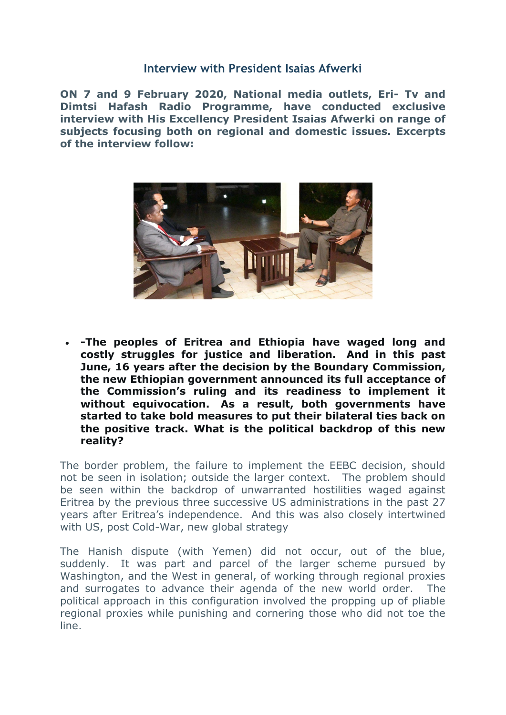## **Interview with President Isaias Afwerki**

**ON 7 and 9 February 2020, National media outlets, Eri- Tv and Dimtsi Hafash Radio Programme, have conducted exclusive interview with His Excellency President Isaias Afwerki on range of subjects focusing both on regional and domestic issues. Excerpts of the interview follow:** 



 **-The peoples of Eritrea and Ethiopia have waged long and costly struggles for justice and liberation. And in this past June, 16 years after the decision by the Boundary Commission, the new Ethiopian government announced its full acceptance of the Commission's ruling and its readiness to implement it without equivocation. As a result, both governments have started to take bold measures to put their bilateral ties back on the positive track. What is the political backdrop of this new reality?**

The border problem, the failure to implement the EEBC decision, should not be seen in isolation; outside the larger context. The problem should be seen within the backdrop of unwarranted hostilities waged against Eritrea by the previous three successive US administrations in the past 27 years after Eritrea's independence. And this was also closely intertwined with US, post Cold-War, new global strategy

The Hanish dispute (with Yemen) did not occur, out of the blue, suddenly. It was part and parcel of the larger scheme pursued by Washington, and the West in general, of working through regional proxies and surrogates to advance their agenda of the new world order. The political approach in this configuration involved the propping up of pliable regional proxies while punishing and cornering those who did not toe the line.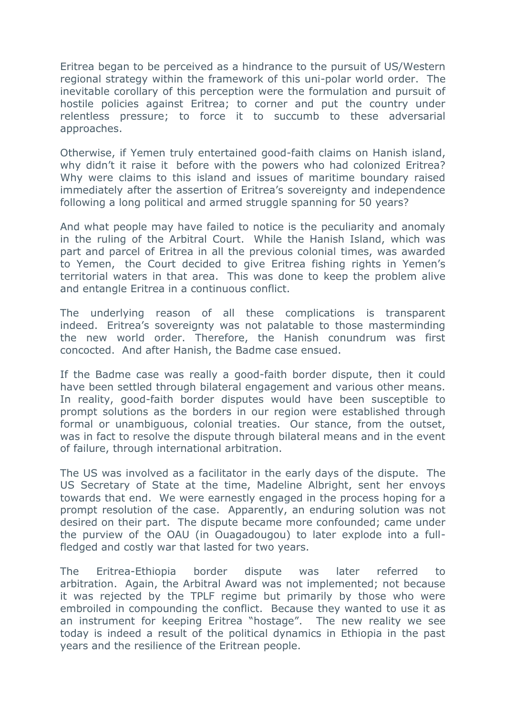Eritrea began to be perceived as a hindrance to the pursuit of US/Western regional strategy within the framework of this uni-polar world order. The inevitable corollary of this perception were the formulation and pursuit of hostile policies against Eritrea; to corner and put the country under relentless pressure; to force it to succumb to these adversarial approaches.

Otherwise, if Yemen truly entertained good-faith claims on Hanish island, why didn't it raise it before with the powers who had colonized Eritrea? Why were claims to this island and issues of maritime boundary raised immediately after the assertion of Eritrea's sovereignty and independence following a long political and armed struggle spanning for 50 years?

And what people may have failed to notice is the peculiarity and anomaly in the ruling of the Arbitral Court. While the Hanish Island, which was part and parcel of Eritrea in all the previous colonial times, was awarded to Yemen, the Court decided to give Eritrea fishing rights in Yemen's territorial waters in that area. This was done to keep the problem alive and entangle Eritrea in a continuous conflict.

The underlying reason of all these complications is transparent indeed. Eritrea's sovereignty was not palatable to those masterminding the new world order. Therefore, the Hanish conundrum was first concocted. And after Hanish, the Badme case ensued.

If the Badme case was really a good-faith border dispute, then it could have been settled through bilateral engagement and various other means. In reality, good-faith border disputes would have been susceptible to prompt solutions as the borders in our region were established through formal or unambiguous, colonial treaties. Our stance, from the outset, was in fact to resolve the dispute through bilateral means and in the event of failure, through international arbitration.

The US was involved as a facilitator in the early days of the dispute. The US Secretary of State at the time, Madeline Albright, sent her envoys towards that end. We were earnestly engaged in the process hoping for a prompt resolution of the case. Apparently, an enduring solution was not desired on their part. The dispute became more confounded; came under the purview of the OAU (in Ouagadougou) to later explode into a fullfledged and costly war that lasted for two years.

The Eritrea-Ethiopia border dispute was later referred to arbitration. Again, the Arbitral Award was not implemented; not because it was rejected by the TPLF regime but primarily by those who were embroiled in compounding the conflict. Because they wanted to use it as an instrument for keeping Eritrea "hostage". The new reality we see today is indeed a result of the political dynamics in Ethiopia in the past years and the resilience of the Eritrean people.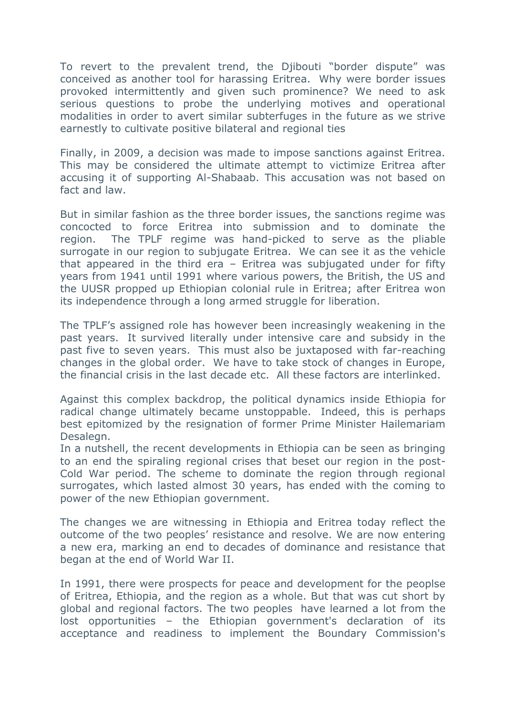To revert to the prevalent trend, the Djibouti "border dispute" was conceived as another tool for harassing Eritrea. Why were border issues provoked intermittently and given such prominence? We need to ask serious questions to probe the underlying motives and operational modalities in order to avert similar subterfuges in the future as we strive earnestly to cultivate positive bilateral and regional ties

Finally, in 2009, a decision was made to impose sanctions against Eritrea. This may be considered the ultimate attempt to victimize Eritrea after accusing it of supporting Al-Shabaab. This accusation was not based on fact and law.

But in similar fashion as the three border issues, the sanctions regime was concocted to force Eritrea into submission and to dominate the region. The TPLF regime was hand-picked to serve as the pliable surrogate in our region to subjugate Eritrea. We can see it as the vehicle that appeared in the third era – Eritrea was subjugated under for fifty years from 1941 until 1991 where various powers, the British, the US and the UUSR propped up Ethiopian colonial rule in Eritrea; after Eritrea won its independence through a long armed struggle for liberation.

The TPLF's assigned role has however been increasingly weakening in the past years. It survived literally under intensive care and subsidy in the past five to seven years. This must also be juxtaposed with far-reaching changes in the global order. We have to take stock of changes in Europe, the financial crisis in the last decade etc. All these factors are interlinked.

Against this complex backdrop, the political dynamics inside Ethiopia for radical change ultimately became unstoppable. Indeed, this is perhaps best epitomized by the resignation of former Prime Minister Hailemariam Desalegn.

In a nutshell, the recent developments in Ethiopia can be seen as bringing to an end the spiraling regional crises that beset our region in the post-Cold War period. The scheme to dominate the region through regional surrogates, which lasted almost 30 years, has ended with the coming to power of the new Ethiopian government.

The changes we are witnessing in Ethiopia and Eritrea today reflect the outcome of the two peoples' resistance and resolve. We are now entering a new era, marking an end to decades of dominance and resistance that began at the end of World War II.

In 1991, there were prospects for peace and development for the peoplse of Eritrea, Ethiopia, and the region as a whole. But that was cut short by global and regional factors. The two peoples have learned a lot from the lost opportunities – the Ethiopian government's declaration of its acceptance and readiness to implement the Boundary Commission's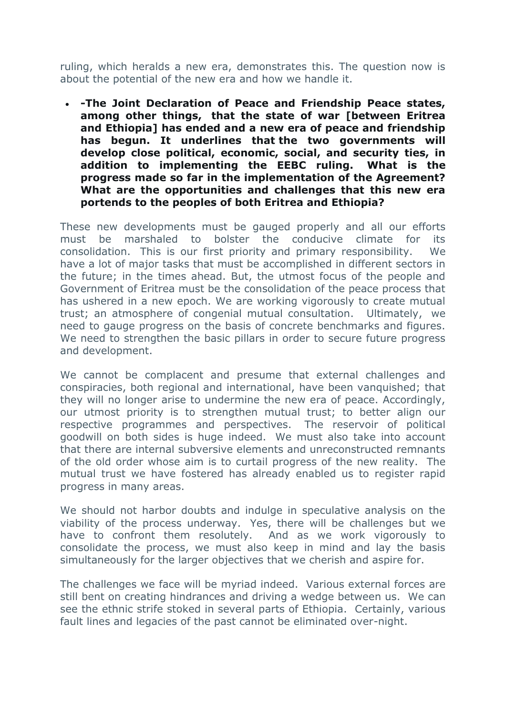ruling, which heralds a new era, demonstrates this. The question now is about the potential of the new era and how we handle it.

 **-The Joint Declaration of Peace and Friendship Peace states, among other things, that the state of war [between Eritrea and Ethiopia] has ended and a new era of peace and friendship has begun. It underlines that the two governments will develop close political, economic, social, and security ties, in addition to implementing the EEBC ruling. What is the progress made so far in the implementation of the Agreement? What are the opportunities and challenges that this new era portends to the peoples of both Eritrea and Ethiopia?**

These new developments must be gauged properly and all our efforts must be marshaled to bolster the conducive climate for its consolidation. This is our first priority and primary responsibility. We have a lot of major tasks that must be accomplished in different sectors in the future; in the times ahead. But, the utmost focus of the people and Government of Eritrea must be the consolidation of the peace process that has ushered in a new epoch. We are working vigorously to create mutual trust; an atmosphere of congenial mutual consultation. Ultimately, we need to gauge progress on the basis of concrete benchmarks and figures. We need to strengthen the basic pillars in order to secure future progress and development.

We cannot be complacent and presume that external challenges and conspiracies, both regional and international, have been vanquished; that they will no longer arise to undermine the new era of peace. Accordingly, our utmost priority is to strengthen mutual trust; to better align our respective programmes and perspectives. The reservoir of political goodwill on both sides is huge indeed. We must also take into account that there are internal subversive elements and unreconstructed remnants of the old order whose aim is to curtail progress of the new reality. The mutual trust we have fostered has already enabled us to register rapid progress in many areas.

We should not harbor doubts and indulge in speculative analysis on the viability of the process underway. Yes, there will be challenges but we have to confront them resolutely. And as we work vigorously to consolidate the process, we must also keep in mind and lay the basis simultaneously for the larger objectives that we cherish and aspire for.

The challenges we face will be myriad indeed. Various external forces are still bent on creating hindrances and driving a wedge between us. We can see the ethnic strife stoked in several parts of Ethiopia. Certainly, various fault lines and legacies of the past cannot be eliminated over-night.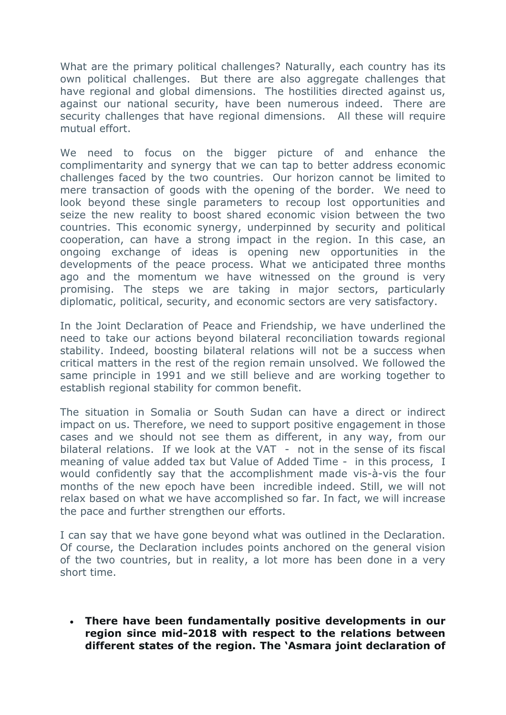What are the primary political challenges? Naturally, each country has its own political challenges. But there are also aggregate challenges that have regional and global dimensions. The hostilities directed against us, against our national security, have been numerous indeed. There are security challenges that have regional dimensions. All these will require mutual effort.

We need to focus on the bigger picture of and enhance the complimentarity and synergy that we can tap to better address economic challenges faced by the two countries. Our horizon cannot be limited to mere transaction of goods with the opening of the border. We need to look beyond these single parameters to recoup lost opportunities and seize the new reality to boost shared economic vision between the two countries. This economic synergy, underpinned by security and political cooperation, can have a strong impact in the region. In this case, an ongoing exchange of ideas is opening new opportunities in the developments of the peace process. What we anticipated three months ago and the momentum we have witnessed on the ground is very promising. The steps we are taking in major sectors, particularly diplomatic, political, security, and economic sectors are very satisfactory.

In the Joint Declaration of Peace and Friendship, we have underlined the need to take our actions beyond bilateral reconciliation towards regional stability. Indeed, boosting bilateral relations will not be a success when critical matters in the rest of the region remain unsolved. We followed the same principle in 1991 and we still believe and are working together to establish regional stability for common benefit.

The situation in Somalia or South Sudan can have a direct or indirect impact on us. Therefore, we need to support positive engagement in those cases and we should not see them as different, in any way, from our bilateral relations. If we look at the VAT - not in the sense of its fiscal meaning of value added tax but Value of Added Time - in this process, I would confidently say that the accomplishment made vis-à-vis the four months of the new epoch have been incredible indeed. Still, we will not relax based on what we have accomplished so far. In fact, we will increase the pace and further strengthen our efforts.

I can say that we have gone beyond what was outlined in the Declaration. Of course, the Declaration includes points anchored on the general vision of the two countries, but in reality, a lot more has been done in a very short time.

 **There have been fundamentally positive developments in our region since mid-2018 with respect to the relations between different states of the region. The 'Asmara joint declaration of**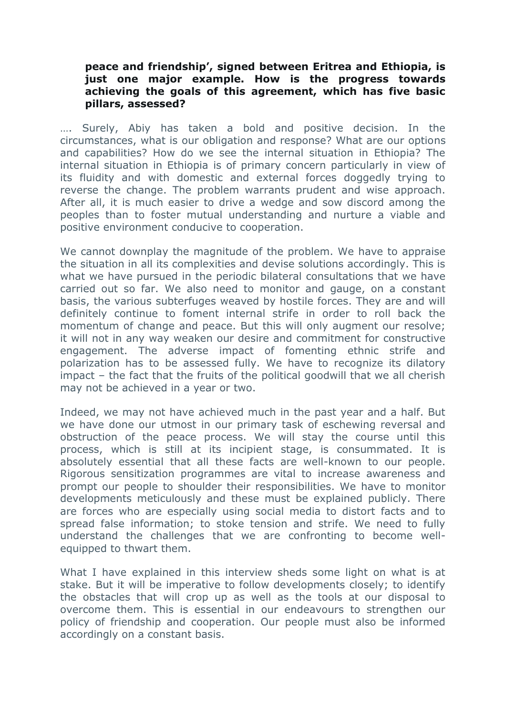#### **peace and friendship', signed between Eritrea and Ethiopia, is just one major example. How is the progress towards achieving the goals of this agreement, which has five basic pillars, assessed?**

…. Surely, Abiy has taken a bold and positive decision. In the circumstances, what is our obligation and response? What are our options and capabilities? How do we see the internal situation in Ethiopia? The internal situation in Ethiopia is of primary concern particularly in view of its fluidity and with domestic and external forces doggedly trying to reverse the change. The problem warrants prudent and wise approach. After all, it is much easier to drive a wedge and sow discord among the peoples than to foster mutual understanding and nurture a viable and positive environment conducive to cooperation.

We cannot downplay the magnitude of the problem. We have to appraise the situation in all its complexities and devise solutions accordingly. This is what we have pursued in the periodic bilateral consultations that we have carried out so far. We also need to monitor and gauge, on a constant basis, the various subterfuges weaved by hostile forces. They are and will definitely continue to foment internal strife in order to roll back the momentum of change and peace. But this will only augment our resolve; it will not in any way weaken our desire and commitment for constructive engagement. The adverse impact of fomenting ethnic strife and polarization has to be assessed fully. We have to recognize its dilatory impact – the fact that the fruits of the political goodwill that we all cherish may not be achieved in a year or two.

Indeed, we may not have achieved much in the past year and a half. But we have done our utmost in our primary task of eschewing reversal and obstruction of the peace process. We will stay the course until this process, which is still at its incipient stage, is consummated. It is absolutely essential that all these facts are well-known to our people. Rigorous sensitization programmes are vital to increase awareness and prompt our people to shoulder their responsibilities. We have to monitor developments meticulously and these must be explained publicly. There are forces who are especially using social media to distort facts and to spread false information; to stoke tension and strife. We need to fully understand the challenges that we are confronting to become wellequipped to thwart them.

What I have explained in this interview sheds some light on what is at stake. But it will be imperative to follow developments closely; to identify the obstacles that will crop up as well as the tools at our disposal to overcome them. This is essential in our endeavours to strengthen our policy of friendship and cooperation. Our people must also be informed accordingly on a constant basis.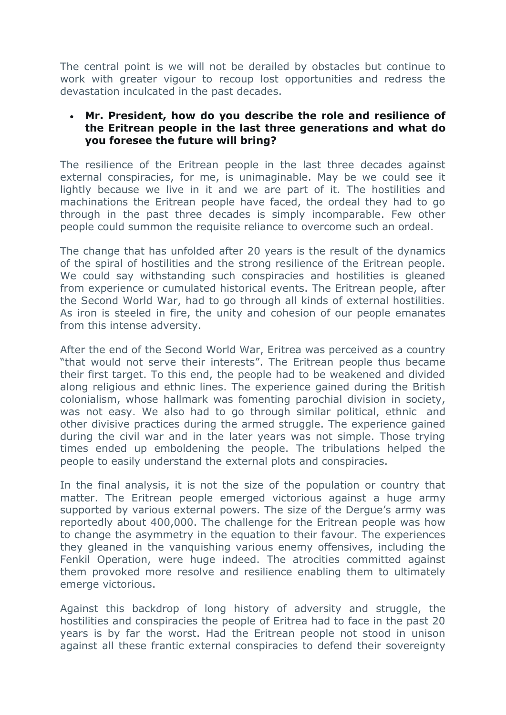The central point is we will not be derailed by obstacles but continue to work with greater vigour to recoup lost opportunities and redress the devastation inculcated in the past decades.

# **Mr. President, how do you describe the role and resilience of the Eritrean people in the last three generations and what do you foresee the future will bring?**

The resilience of the Eritrean people in the last three decades against external conspiracies, for me, is unimaginable. May be we could see it lightly because we live in it and we are part of it. The hostilities and machinations the Eritrean people have faced, the ordeal they had to go through in the past three decades is simply incomparable. Few other people could summon the requisite reliance to overcome such an ordeal.

The change that has unfolded after 20 years is the result of the dynamics of the spiral of hostilities and the strong resilience of the Eritrean people. We could say withstanding such conspiracies and hostilities is gleaned from experience or cumulated historical events. The Eritrean people, after the Second World War, had to go through all kinds of external hostilities. As iron is steeled in fire, the unity and cohesion of our people emanates from this intense adversity.

After the end of the Second World War, Eritrea was perceived as a country "that would not serve their interests". The Eritrean people thus became their first target. To this end, the people had to be weakened and divided along religious and ethnic lines. The experience gained during the British colonialism, whose hallmark was fomenting parochial division in society, was not easy. We also had to go through similar political, ethnic and other divisive practices during the armed struggle. The experience gained during the civil war and in the later years was not simple. Those trying times ended up emboldening the people. The tribulations helped the people to easily understand the external plots and conspiracies.

In the final analysis, it is not the size of the population or country that matter. The Eritrean people emerged victorious against a huge army supported by various external powers. The size of the Dergue's army was reportedly about 400,000. The challenge for the Eritrean people was how to change the asymmetry in the equation to their favour. The experiences they gleaned in the vanquishing various enemy offensives, including the Fenkil Operation, were huge indeed. The atrocities committed against them provoked more resolve and resilience enabling them to ultimately emerge victorious.

Against this backdrop of long history of adversity and struggle, the hostilities and conspiracies the people of Eritrea had to face in the past 20 years is by far the worst. Had the Eritrean people not stood in unison against all these frantic external conspiracies to defend their sovereignty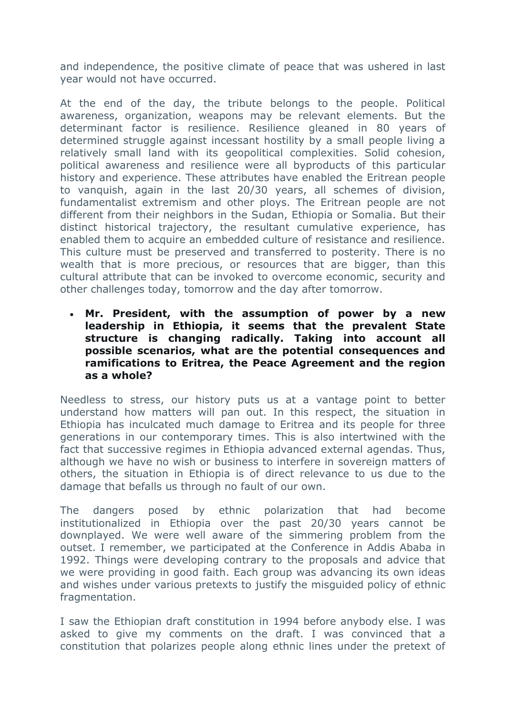and independence, the positive climate of peace that was ushered in last year would not have occurred.

At the end of the day, the tribute belongs to the people. Political awareness, organization, weapons may be relevant elements. But the determinant factor is resilience. Resilience gleaned in 80 years of determined struggle against incessant hostility by a small people living a relatively small land with its geopolitical complexities. Solid cohesion, political awareness and resilience were all byproducts of this particular history and experience. These attributes have enabled the Eritrean people to vanquish, again in the last 20/30 years, all schemes of division, fundamentalist extremism and other ploys. The Eritrean people are not different from their neighbors in the Sudan, Ethiopia or Somalia. But their distinct historical trajectory, the resultant cumulative experience, has enabled them to acquire an embedded culture of resistance and resilience. This culture must be preserved and transferred to posterity. There is no wealth that is more precious, or resources that are bigger, than this cultural attribute that can be invoked to overcome economic, security and other challenges today, tomorrow and the day after tomorrow.

 **Mr. President, with the assumption of power by a new leadership in Ethiopia, it seems that the prevalent State structure is changing radically. Taking into account all possible scenarios, what are the potential consequences and ramifications to Eritrea, the Peace Agreement and the region as a whole?**

Needless to stress, our history puts us at a vantage point to better understand how matters will pan out. In this respect, the situation in Ethiopia has inculcated much damage to Eritrea and its people for three generations in our contemporary times. This is also intertwined with the fact that successive regimes in Ethiopia advanced external agendas. Thus, although we have no wish or business to interfere in sovereign matters of others, the situation in Ethiopia is of direct relevance to us due to the damage that befalls us through no fault of our own.

The dangers posed by ethnic polarization that had become institutionalized in Ethiopia over the past 20/30 years cannot be downplayed. We were well aware of the simmering problem from the outset. I remember, we participated at the Conference in Addis Ababa in 1992. Things were developing contrary to the proposals and advice that we were providing in good faith. Each group was advancing its own ideas and wishes under various pretexts to justify the misguided policy of ethnic fragmentation.

I saw the Ethiopian draft constitution in 1994 before anybody else. I was asked to give my comments on the draft. I was convinced that a constitution that polarizes people along ethnic lines under the pretext of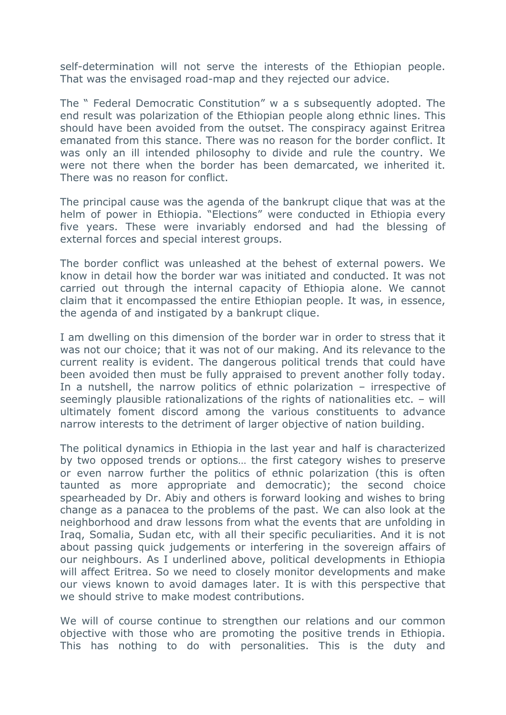self-determination will not serve the interests of the Ethiopian people. That was the envisaged road-map and they rejected our advice.

The " Federal Democratic Constitution" w a s subsequently adopted. The end result was polarization of the Ethiopian people along ethnic lines. This should have been avoided from the outset. The conspiracy against Eritrea emanated from this stance. There was no reason for the border conflict. It was only an ill intended philosophy to divide and rule the country. We were not there when the border has been demarcated, we inherited it. There was no reason for conflict.

The principal cause was the agenda of the bankrupt clique that was at the helm of power in Ethiopia. "Elections" were conducted in Ethiopia every five years. These were invariably endorsed and had the blessing of external forces and special interest groups.

The border conflict was unleashed at the behest of external powers. We know in detail how the border war was initiated and conducted. It was not carried out through the internal capacity of Ethiopia alone. We cannot claim that it encompassed the entire Ethiopian people. It was, in essence, the agenda of and instigated by a bankrupt clique.

I am dwelling on this dimension of the border war in order to stress that it was not our choice; that it was not of our making. And its relevance to the current reality is evident. The dangerous political trends that could have been avoided then must be fully appraised to prevent another folly today. In a nutshell, the narrow politics of ethnic polarization – irrespective of seemingly plausible rationalizations of the rights of nationalities etc. – will ultimately foment discord among the various constituents to advance narrow interests to the detriment of larger objective of nation building.

The political dynamics in Ethiopia in the last year and half is characterized by two opposed trends or options… the first category wishes to preserve or even narrow further the politics of ethnic polarization (this is often taunted as more appropriate and democratic); the second choice spearheaded by Dr. Abiy and others is forward looking and wishes to bring change as a panacea to the problems of the past. We can also look at the neighborhood and draw lessons from what the events that are unfolding in Iraq, Somalia, Sudan etc, with all their specific peculiarities. And it is not about passing quick judgements or interfering in the sovereign affairs of our neighbours. As I underlined above, political developments in Ethiopia will affect Eritrea. So we need to closely monitor developments and make our views known to avoid damages later. It is with this perspective that we should strive to make modest contributions.

We will of course continue to strengthen our relations and our common objective with those who are promoting the positive trends in Ethiopia. This has nothing to do with personalities. This is the duty and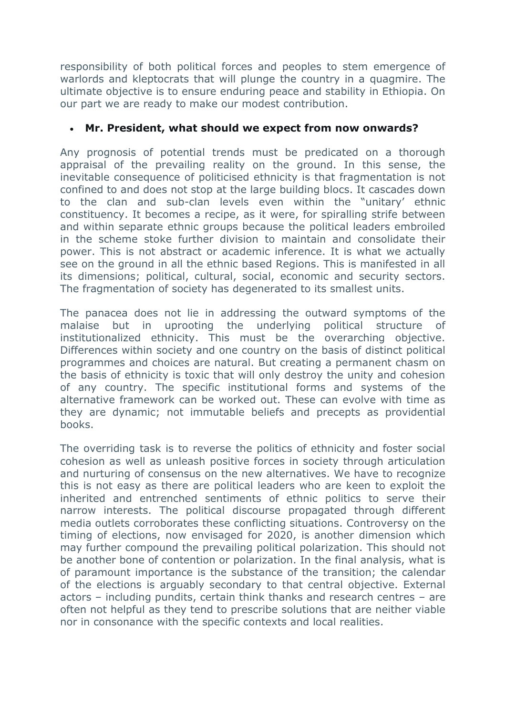responsibility of both political forces and peoples to stem emergence of warlords and kleptocrats that will plunge the country in a quagmire. The ultimate objective is to ensure enduring peace and stability in Ethiopia. On our part we are ready to make our modest contribution.

# **Mr. President, what should we expect from now onwards?**

Any prognosis of potential trends must be predicated on a thorough appraisal of the prevailing reality on the ground. In this sense, the inevitable consequence of politicised ethnicity is that fragmentation is not confined to and does not stop at the large building blocs. It cascades down to the clan and sub-clan levels even within the "unitary' ethnic constituency. It becomes a recipe, as it were, for spiralling strife between and within separate ethnic groups because the political leaders embroiled in the scheme stoke further division to maintain and consolidate their power. This is not abstract or academic inference. It is what we actually see on the ground in all the ethnic based Regions. This is manifested in all its dimensions; political, cultural, social, economic and security sectors. The fragmentation of society has degenerated to its smallest units.

The panacea does not lie in addressing the outward symptoms of the malaise but in uprooting the underlying political structure of institutionalized ethnicity. This must be the overarching objective. Differences within society and one country on the basis of distinct political programmes and choices are natural. But creating a permanent chasm on the basis of ethnicity is toxic that will only destroy the unity and cohesion of any country. The specific institutional forms and systems of the alternative framework can be worked out. These can evolve with time as they are dynamic; not immutable beliefs and precepts as providential books.

The overriding task is to reverse the politics of ethnicity and foster social cohesion as well as unleash positive forces in society through articulation and nurturing of consensus on the new alternatives. We have to recognize this is not easy as there are political leaders who are keen to exploit the inherited and entrenched sentiments of ethnic politics to serve their narrow interests. The political discourse propagated through different media outlets corroborates these conflicting situations. Controversy on the timing of elections, now envisaged for 2020, is another dimension which may further compound the prevailing political polarization. This should not be another bone of contention or polarization. In the final analysis, what is of paramount importance is the substance of the transition; the calendar of the elections is arguably secondary to that central objective. External actors – including pundits, certain think thanks and research centres – are often not helpful as they tend to prescribe solutions that are neither viable nor in consonance with the specific contexts and local realities.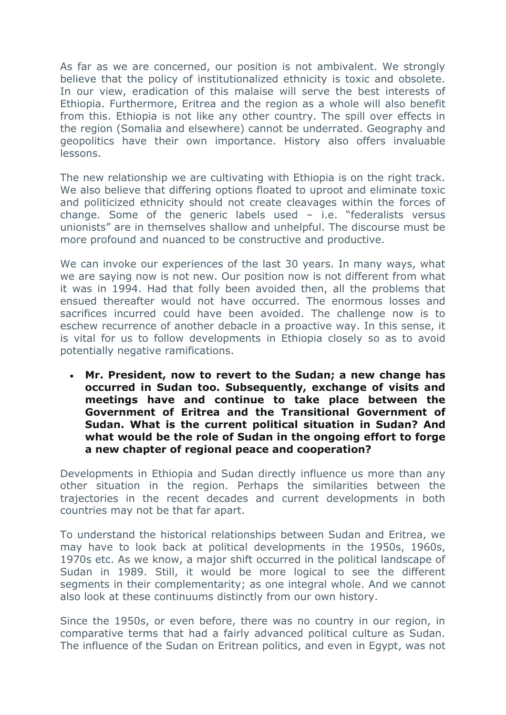As far as we are concerned, our position is not ambivalent. We strongly believe that the policy of institutionalized ethnicity is toxic and obsolete. In our view, eradication of this malaise will serve the best interests of Ethiopia. Furthermore, Eritrea and the region as a whole will also benefit from this. Ethiopia is not like any other country. The spill over effects in the region (Somalia and elsewhere) cannot be underrated. Geography and geopolitics have their own importance. History also offers invaluable lessons.

The new relationship we are cultivating with Ethiopia is on the right track. We also believe that differing options floated to uproot and eliminate toxic and politicized ethnicity should not create cleavages within the forces of change. Some of the generic labels used – i.e. "federalists versus unionists" are in themselves shallow and unhelpful. The discourse must be more profound and nuanced to be constructive and productive.

We can invoke our experiences of the last 30 years. In many ways, what we are saying now is not new. Our position now is not different from what it was in 1994. Had that folly been avoided then, all the problems that ensued thereafter would not have occurred. The enormous losses and sacrifices incurred could have been avoided. The challenge now is to eschew recurrence of another debacle in a proactive way. In this sense, it is vital for us to follow developments in Ethiopia closely so as to avoid potentially negative ramifications.

 **Mr. President, now to revert to the Sudan; a new change has occurred in Sudan too. Subsequently, exchange of visits and meetings have and continue to take place between the Government of Eritrea and the Transitional Government of Sudan. What is the current political situation in Sudan? And what would be the role of Sudan in the ongoing effort to forge a new chapter of regional peace and cooperation?** 

Developments in Ethiopia and Sudan directly influence us more than any other situation in the region. Perhaps the similarities between the trajectories in the recent decades and current developments in both countries may not be that far apart.

To understand the historical relationships between Sudan and Eritrea, we may have to look back at political developments in the 1950s, 1960s, 1970s etc. As we know, a major shift occurred in the political landscape of Sudan in 1989. Still, it would be more logical to see the different segments in their complementarity; as one integral whole. And we cannot also look at these continuums distinctly from our own history.

Since the 1950s, or even before, there was no country in our region, in comparative terms that had a fairly advanced political culture as Sudan. The influence of the Sudan on Eritrean politics, and even in Egypt, was not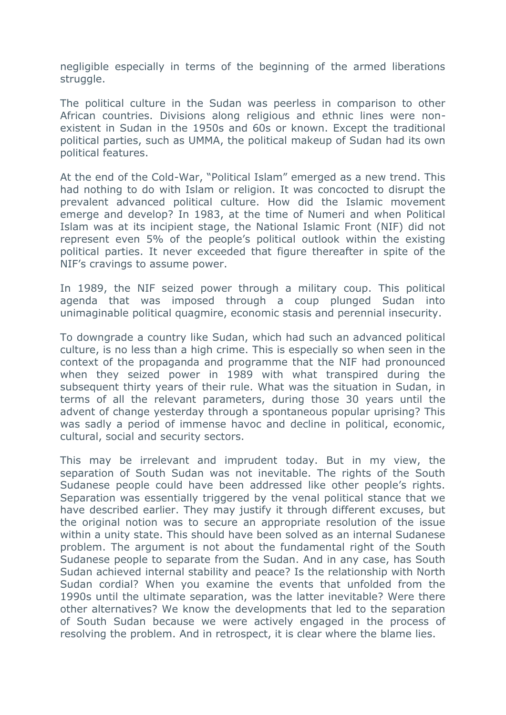negligible especially in terms of the beginning of the armed liberations struggle.

The political culture in the Sudan was peerless in comparison to other African countries. Divisions along religious and ethnic lines were nonexistent in Sudan in the 1950s and 60s or known. Except the traditional political parties, such as UMMA, the political makeup of Sudan had its own political features.

At the end of the Cold-War, "Political Islam" emerged as a new trend. This had nothing to do with Islam or religion. It was concocted to disrupt the prevalent advanced political culture. How did the Islamic movement emerge and develop? In 1983, at the time of Numeri and when Political Islam was at its incipient stage, the National Islamic Front (NIF) did not represent even 5% of the people's political outlook within the existing political parties. It never exceeded that figure thereafter in spite of the NIF's cravings to assume power.

In 1989, the NIF seized power through a military coup. This political agenda that was imposed through a coup plunged Sudan into unimaginable political quagmire, economic stasis and perennial insecurity.

To downgrade a country like Sudan, which had such an advanced political culture, is no less than a high crime. This is especially so when seen in the context of the propaganda and programme that the NIF had pronounced when they seized power in 1989 with what transpired during the subsequent thirty years of their rule. What was the situation in Sudan, in terms of all the relevant parameters, during those 30 years until the advent of change yesterday through a spontaneous popular uprising? This was sadly a period of immense havoc and decline in political, economic, cultural, social and security sectors.

This may be irrelevant and imprudent today. But in my view, the separation of South Sudan was not inevitable. The rights of the South Sudanese people could have been addressed like other people's rights. Separation was essentially triggered by the venal political stance that we have described earlier. They may justify it through different excuses, but the original notion was to secure an appropriate resolution of the issue within a unity state. This should have been solved as an internal Sudanese problem. The argument is not about the fundamental right of the South Sudanese people to separate from the Sudan. And in any case, has South Sudan achieved internal stability and peace? Is the relationship with North Sudan cordial? When you examine the events that unfolded from the 1990s until the ultimate separation, was the latter inevitable? Were there other alternatives? We know the developments that led to the separation of South Sudan because we were actively engaged in the process of resolving the problem. And in retrospect, it is clear where the blame lies.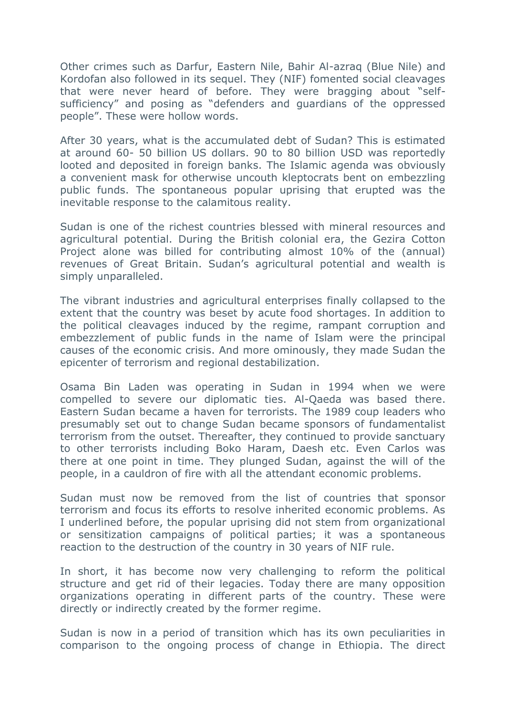Other crimes such as Darfur, Eastern Nile, Bahir Al-azraq (Blue Nile) and Kordofan also followed in its sequel. They (NIF) fomented social cleavages that were never heard of before. They were bragging about "selfsufficiency" and posing as "defenders and guardians of the oppressed people". These were hollow words.

After 30 years, what is the accumulated debt of Sudan? This is estimated at around 60- 50 billion US dollars. 90 to 80 billion USD was reportedly looted and deposited in foreign banks. The Islamic agenda was obviously a convenient mask for otherwise uncouth kleptocrats bent on embezzling public funds. The spontaneous popular uprising that erupted was the inevitable response to the calamitous reality.

Sudan is one of the richest countries blessed with mineral resources and agricultural potential. During the British colonial era, the Gezira Cotton Project alone was billed for contributing almost 10% of the (annual) revenues of Great Britain. Sudan's agricultural potential and wealth is simply unparalleled.

The vibrant industries and agricultural enterprises finally collapsed to the extent that the country was beset by acute food shortages. In addition to the political cleavages induced by the regime, rampant corruption and embezzlement of public funds in the name of Islam were the principal causes of the economic crisis. And more ominously, they made Sudan the epicenter of terrorism and regional destabilization.

Osama Bin Laden was operating in Sudan in 1994 when we were compelled to severe our diplomatic ties. Al-Qaeda was based there. Eastern Sudan became a haven for terrorists. The 1989 coup leaders who presumably set out to change Sudan became sponsors of fundamentalist terrorism from the outset. Thereafter, they continued to provide sanctuary to other terrorists including Boko Haram, Daesh etc. Even Carlos was there at one point in time. They plunged Sudan, against the will of the people, in a cauldron of fire with all the attendant economic problems.

Sudan must now be removed from the list of countries that sponsor terrorism and focus its efforts to resolve inherited economic problems. As I underlined before, the popular uprising did not stem from organizational or sensitization campaigns of political parties; it was a spontaneous reaction to the destruction of the country in 30 years of NIF rule.

In short, it has become now very challenging to reform the political structure and get rid of their legacies. Today there are many opposition organizations operating in different parts of the country. These were directly or indirectly created by the former regime.

Sudan is now in a period of transition which has its own peculiarities in comparison to the ongoing process of change in Ethiopia. The direct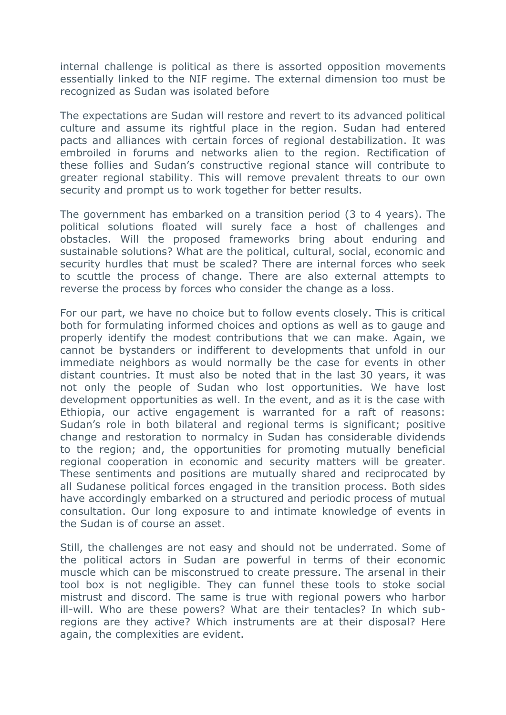internal challenge is political as there is assorted opposition movements essentially linked to the NIF regime. The external dimension too must be recognized as Sudan was isolated before

The expectations are Sudan will restore and revert to its advanced political culture and assume its rightful place in the region. Sudan had entered pacts and alliances with certain forces of regional destabilization. It was embroiled in forums and networks alien to the region. Rectification of these follies and Sudan's constructive regional stance will contribute to greater regional stability. This will remove prevalent threats to our own security and prompt us to work together for better results.

The government has embarked on a transition period (3 to 4 years). The political solutions floated will surely face a host of challenges and obstacles. Will the proposed frameworks bring about enduring and sustainable solutions? What are the political, cultural, social, economic and security hurdles that must be scaled? There are internal forces who seek to scuttle the process of change. There are also external attempts to reverse the process by forces who consider the change as a loss.

For our part, we have no choice but to follow events closely. This is critical both for formulating informed choices and options as well as to gauge and properly identify the modest contributions that we can make. Again, we cannot be bystanders or indifferent to developments that unfold in our immediate neighbors as would normally be the case for events in other distant countries. It must also be noted that in the last 30 years, it was not only the people of Sudan who lost opportunities. We have lost development opportunities as well. In the event, and as it is the case with Ethiopia, our active engagement is warranted for a raft of reasons: Sudan's role in both bilateral and regional terms is significant; positive change and restoration to normalcy in Sudan has considerable dividends to the region; and, the opportunities for promoting mutually beneficial regional cooperation in economic and security matters will be greater. These sentiments and positions are mutually shared and reciprocated by all Sudanese political forces engaged in the transition process. Both sides have accordingly embarked on a structured and periodic process of mutual consultation. Our long exposure to and intimate knowledge of events in the Sudan is of course an asset.

Still, the challenges are not easy and should not be underrated. Some of the political actors in Sudan are powerful in terms of their economic muscle which can be misconstrued to create pressure. The arsenal in their tool box is not negligible. They can funnel these tools to stoke social mistrust and discord. The same is true with regional powers who harbor ill-will. Who are these powers? What are their tentacles? In which subregions are they active? Which instruments are at their disposal? Here again, the complexities are evident.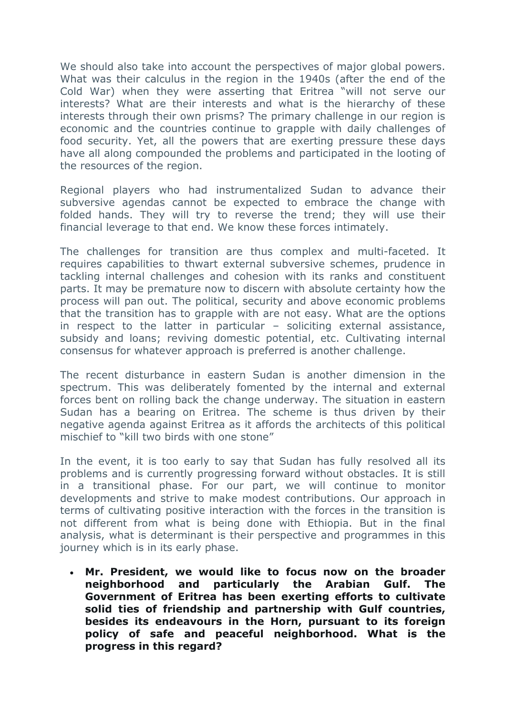We should also take into account the perspectives of major global powers. What was their calculus in the region in the 1940s (after the end of the Cold War) when they were asserting that Eritrea "will not serve our interests? What are their interests and what is the hierarchy of these interests through their own prisms? The primary challenge in our region is economic and the countries continue to grapple with daily challenges of food security. Yet, all the powers that are exerting pressure these days have all along compounded the problems and participated in the looting of the resources of the region.

Regional players who had instrumentalized Sudan to advance their subversive agendas cannot be expected to embrace the change with folded hands. They will try to reverse the trend; they will use their financial leverage to that end. We know these forces intimately.

The challenges for transition are thus complex and multi-faceted. It requires capabilities to thwart external subversive schemes, prudence in tackling internal challenges and cohesion with its ranks and constituent parts. It may be premature now to discern with absolute certainty how the process will pan out. The political, security and above economic problems that the transition has to grapple with are not easy. What are the options in respect to the latter in particular – soliciting external assistance, subsidy and loans; reviving domestic potential, etc. Cultivating internal consensus for whatever approach is preferred is another challenge.

The recent disturbance in eastern Sudan is another dimension in the spectrum. This was deliberately fomented by the internal and external forces bent on rolling back the change underway. The situation in eastern Sudan has a bearing on Eritrea. The scheme is thus driven by their negative agenda against Eritrea as it affords the architects of this political mischief to "kill two birds with one stone"

In the event, it is too early to say that Sudan has fully resolved all its problems and is currently progressing forward without obstacles. It is still in a transitional phase. For our part, we will continue to monitor developments and strive to make modest contributions. Our approach in terms of cultivating positive interaction with the forces in the transition is not different from what is being done with Ethiopia. But in the final analysis, what is determinant is their perspective and programmes in this journey which is in its early phase.

 **Mr. President, we would like to focus now on the broader neighborhood and particularly the Arabian Gulf. The Government of Eritrea has been exerting efforts to cultivate solid ties of friendship and partnership with Gulf countries, besides its endeavours in the Horn, pursuant to its foreign policy of safe and peaceful neighborhood. What is the progress in this regard?**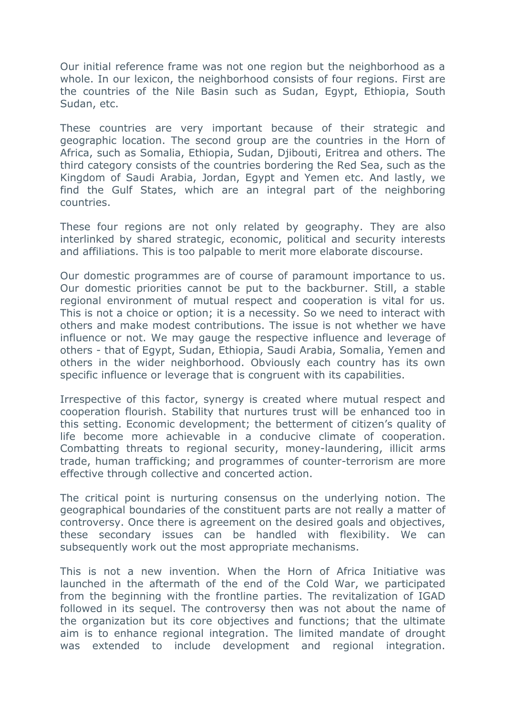Our initial reference frame was not one region but the neighborhood as a whole. In our lexicon, the neighborhood consists of four regions. First are the countries of the Nile Basin such as Sudan, Egypt, Ethiopia, South Sudan, etc.

These countries are very important because of their strategic and geographic location. The second group are the countries in the Horn of Africa, such as Somalia, Ethiopia, Sudan, Djibouti, Eritrea and others. The third category consists of the countries bordering the Red Sea, such as the Kingdom of Saudi Arabia, Jordan, Egypt and Yemen etc. And lastly, we find the Gulf States, which are an integral part of the neighboring countries.

These four regions are not only related by geography. They are also interlinked by shared strategic, economic, political and security interests and affiliations. This is too palpable to merit more elaborate discourse.

Our domestic programmes are of course of paramount importance to us. Our domestic priorities cannot be put to the backburner. Still, a stable regional environment of mutual respect and cooperation is vital for us. This is not a choice or option; it is a necessity. So we need to interact with others and make modest contributions. The issue is not whether we have influence or not. We may gauge the respective influence and leverage of others - that of Egypt, Sudan, Ethiopia, Saudi Arabia, Somalia, Yemen and others in the wider neighborhood. Obviously each country has its own specific influence or leverage that is congruent with its capabilities.

Irrespective of this factor, synergy is created where mutual respect and cooperation flourish. Stability that nurtures trust will be enhanced too in this setting. Economic development; the betterment of citizen's quality of life become more achievable in a conducive climate of cooperation. Combatting threats to regional security, money-laundering, illicit arms trade, human trafficking; and programmes of counter-terrorism are more effective through collective and concerted action.

The critical point is nurturing consensus on the underlying notion. The geographical boundaries of the constituent parts are not really a matter of controversy. Once there is agreement on the desired goals and objectives, these secondary issues can be handled with flexibility. We can subsequently work out the most appropriate mechanisms.

This is not a new invention. When the Horn of Africa Initiative was launched in the aftermath of the end of the Cold War, we participated from the beginning with the frontline parties. The revitalization of IGAD followed in its sequel. The controversy then was not about the name of the organization but its core objectives and functions; that the ultimate aim is to enhance regional integration. The limited mandate of drought was extended to include development and regional integration.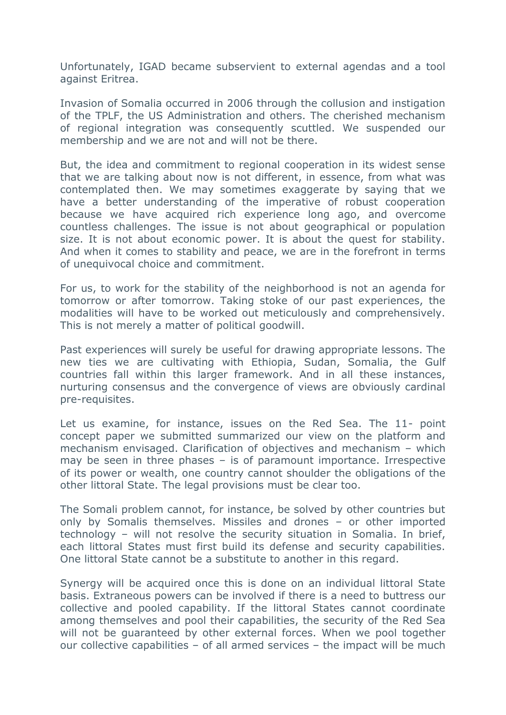Unfortunately, IGAD became subservient to external agendas and a tool against Eritrea.

Invasion of Somalia occurred in 2006 through the collusion and instigation of the TPLF, the US Administration and others. The cherished mechanism of regional integration was consequently scuttled. We suspended our membership and we are not and will not be there.

But, the idea and commitment to regional cooperation in its widest sense that we are talking about now is not different, in essence, from what was contemplated then. We may sometimes exaggerate by saying that we have a better understanding of the imperative of robust cooperation because we have acquired rich experience long ago, and overcome countless challenges. The issue is not about geographical or population size. It is not about economic power. It is about the quest for stability. And when it comes to stability and peace, we are in the forefront in terms of unequivocal choice and commitment.

For us, to work for the stability of the neighborhood is not an agenda for tomorrow or after tomorrow. Taking stoke of our past experiences, the modalities will have to be worked out meticulously and comprehensively. This is not merely a matter of political goodwill.

Past experiences will surely be useful for drawing appropriate lessons. The new ties we are cultivating with Ethiopia, Sudan, Somalia, the Gulf countries fall within this larger framework. And in all these instances, nurturing consensus and the convergence of views are obviously cardinal pre-requisites.

Let us examine, for instance, issues on the Red Sea. The 11- point concept paper we submitted summarized our view on the platform and mechanism envisaged. Clarification of objectives and mechanism – which may be seen in three phases – is of paramount importance. Irrespective of its power or wealth, one country cannot shoulder the obligations of the other littoral State. The legal provisions must be clear too.

The Somali problem cannot, for instance, be solved by other countries but only by Somalis themselves. Missiles and drones – or other imported technology – will not resolve the security situation in Somalia. In brief, each littoral States must first build its defense and security capabilities. One littoral State cannot be a substitute to another in this regard.

Synergy will be acquired once this is done on an individual littoral State basis. Extraneous powers can be involved if there is a need to buttress our collective and pooled capability. If the littoral States cannot coordinate among themselves and pool their capabilities, the security of the Red Sea will not be guaranteed by other external forces. When we pool together our collective capabilities – of all armed services – the impact will be much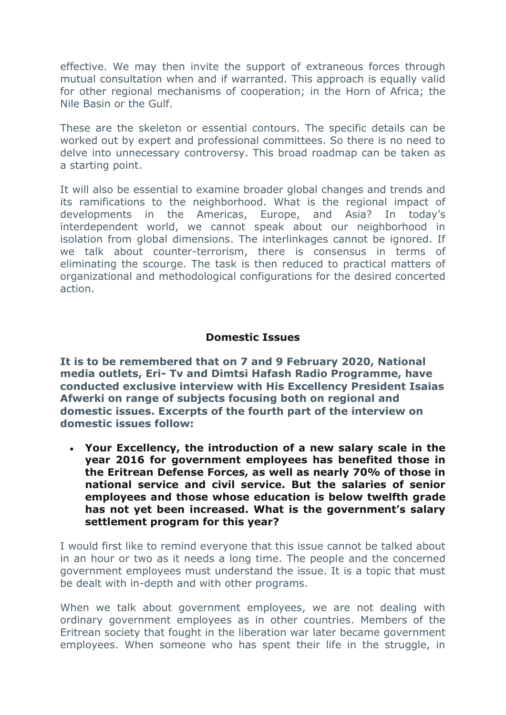effective. We may then invite the support of extraneous forces through mutual consultation when and if warranted. This approach is equally valid for other regional mechanisms of cooperation; in the Horn of Africa; the Nile Basin or the Gulf.

These are the skeleton or essential contours. The specific details can be worked out by expert and professional committees. So there is no need to delve into unnecessary controversy. This broad roadmap can be taken as a starting point.

It will also be essential to examine broader global changes and trends and its ramifications to the neighborhood. What is the regional impact of developments in the Americas, Europe, and Asia? In today's interdependent world, we cannot speak about our neighborhood in isolation from global dimensions. The interlinkages cannot be ignored. If we talk about counter-terrorism, there is consensus in terms of eliminating the scourge. The task is then reduced to practical matters of organizational and methodological configurations for the desired concerted action.

## **Domestic Issues**

**It is to be remembered that on 7 and 9 February 2020, National media outlets, Eri- Tv and Dimtsi Hafash Radio Programme, have conducted exclusive interview with His Excellency President Isaias Afwerki on range of subjects focusing both on regional and domestic issues. Excerpts of the fourth part of the interview on domestic issues follow:**

 **Your Excellency, the introduction of a new salary scale in the year 2016 for government employees has benefited those in the Eritrean Defense Forces, as well as nearly 70% of those in national service and civil service. But the salaries of senior employees and those whose education is below twelfth grade has not yet been increased. What is the government's salary settlement program for this year?** 

I would first like to remind everyone that this issue cannot be talked about in an hour or two as it needs a long time. The people and the concerned government employees must understand the issue. It is a topic that must be dealt with in-depth and with other programs.

When we talk about government employees, we are not dealing with ordinary government employees as in other countries. Members of the Eritrean society that fought in the liberation war later became government employees. When someone who has spent their life in the struggle, in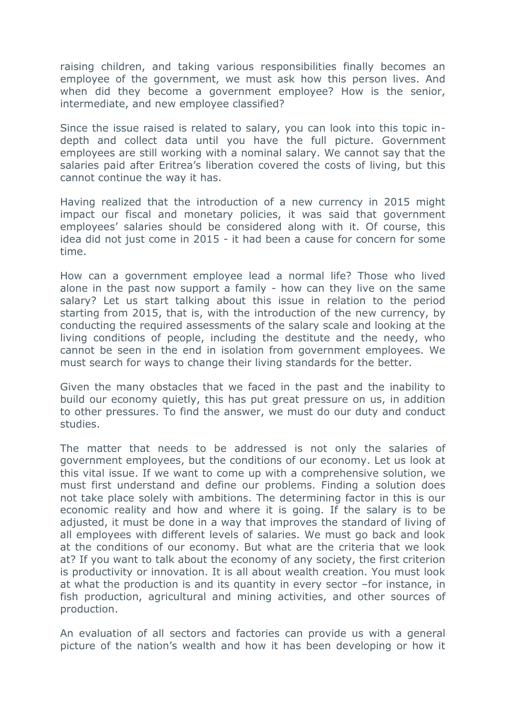raising children, and taking various responsibilities finally becomes an employee of the government, we must ask how this person lives. And when did they become a government employee? How is the senior, intermediate, and new employee classified?

Since the issue raised is related to salary, you can look into this topic indepth and collect data until you have the full picture. Government employees are still working with a nominal salary. We cannot say that the salaries paid after Eritrea's liberation covered the costs of living, but this cannot continue the way it has.

Having realized that the introduction of a new currency in 2015 might impact our fiscal and monetary policies, it was said that government employees' salaries should be considered along with it. Of course, this idea did not just come in 2015 - it had been a cause for concern for some time.

How can a government employee lead a normal life? Those who lived alone in the past now support a family - how can they live on the same salary? Let us start talking about this issue in relation to the period starting from 2015, that is, with the introduction of the new currency, by conducting the required assessments of the salary scale and looking at the living conditions of people, including the destitute and the needy, who cannot be seen in the end in isolation from government employees. We must search for ways to change their living standards for the better.

Given the many obstacles that we faced in the past and the inability to build our economy quietly, this has put great pressure on us, in addition to other pressures. To find the answer, we must do our duty and conduct studies.

The matter that needs to be addressed is not only the salaries of government employees, but the conditions of our economy. Let us look at this vital issue. If we want to come up with a comprehensive solution, we must first understand and define our problems. Finding a solution does not take place solely with ambitions. The determining factor in this is our economic reality and how and where it is going. If the salary is to be adjusted, it must be done in a way that improves the standard of living of all employees with different levels of salaries. We must go back and look at the conditions of our economy. But what are the criteria that we look at? If you want to talk about the economy of any society, the first criterion is productivity or innovation. It is all about wealth creation. You must look at what the production is and its quantity in every sector –for instance, in fish production, agricultural and mining activities, and other sources of production.

An evaluation of all sectors and factories can provide us with a general picture of the nation's wealth and how it has been developing or how it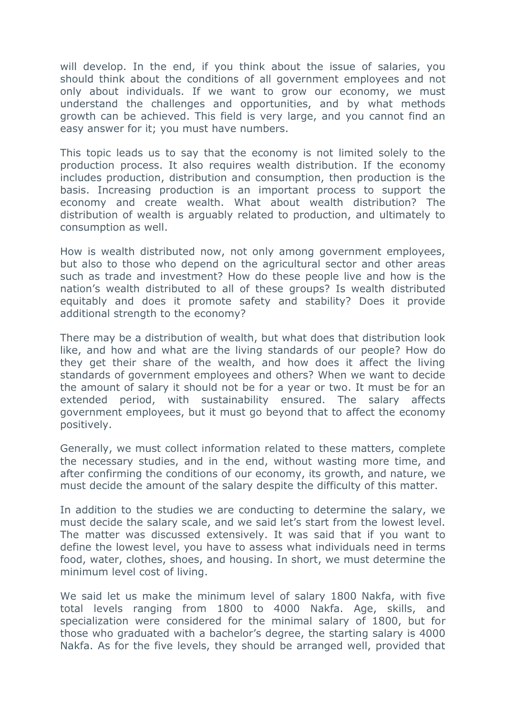will develop. In the end, if you think about the issue of salaries, you should think about the conditions of all government employees and not only about individuals. If we want to grow our economy, we must understand the challenges and opportunities, and by what methods growth can be achieved. This field is very large, and you cannot find an easy answer for it; you must have numbers.

This topic leads us to say that the economy is not limited solely to the production process. It also requires wealth distribution. If the economy includes production, distribution and consumption, then production is the basis. Increasing production is an important process to support the economy and create wealth. What about wealth distribution? The distribution of wealth is arguably related to production, and ultimately to consumption as well.

How is wealth distributed now, not only among government employees, but also to those who depend on the agricultural sector and other areas such as trade and investment? How do these people live and how is the nation's wealth distributed to all of these groups? Is wealth distributed equitably and does it promote safety and stability? Does it provide additional strength to the economy?

There may be a distribution of wealth, but what does that distribution look like, and how and what are the living standards of our people? How do they get their share of the wealth, and how does it affect the living standards of government employees and others? When we want to decide the amount of salary it should not be for a year or two. It must be for an extended period, with sustainability ensured. The salary affects government employees, but it must go beyond that to affect the economy positively.

Generally, we must collect information related to these matters, complete the necessary studies, and in the end, without wasting more time, and after confirming the conditions of our economy, its growth, and nature, we must decide the amount of the salary despite the difficulty of this matter.

In addition to the studies we are conducting to determine the salary, we must decide the salary scale, and we said let's start from the lowest level. The matter was discussed extensively. It was said that if you want to define the lowest level, you have to assess what individuals need in terms food, water, clothes, shoes, and housing. In short, we must determine the minimum level cost of living.

We said let us make the minimum level of salary 1800 Nakfa, with five total levels ranging from 1800 to 4000 Nakfa. Age, skills, and specialization were considered for the minimal salary of 1800, but for those who graduated with a bachelor's degree, the starting salary is 4000 Nakfa. As for the five levels, they should be arranged well, provided that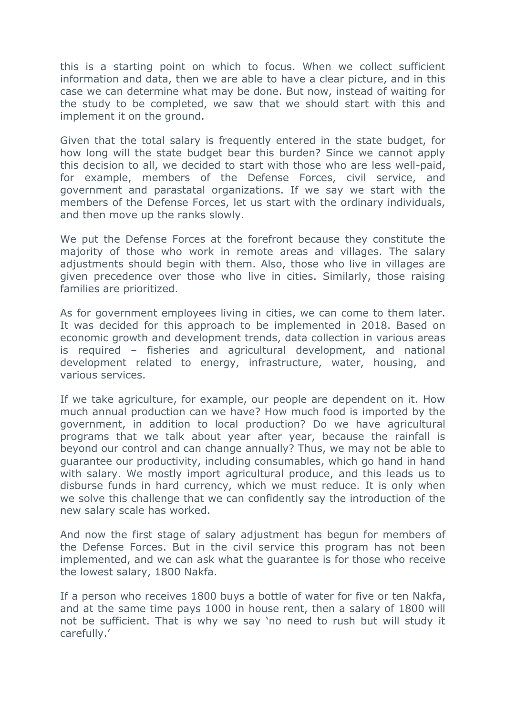this is a starting point on which to focus. When we collect sufficient information and data, then we are able to have a clear picture, and in this case we can determine what may be done. But now, instead of waiting for the study to be completed, we saw that we should start with this and implement it on the ground.

Given that the total salary is frequently entered in the state budget, for how long will the state budget bear this burden? Since we cannot apply this decision to all, we decided to start with those who are less well-paid, for example, members of the Defense Forces, civil service, and government and parastatal organizations. If we say we start with the members of the Defense Forces, let us start with the ordinary individuals, and then move up the ranks slowly.

We put the Defense Forces at the forefront because they constitute the majority of those who work in remote areas and villages. The salary adjustments should begin with them. Also, those who live in villages are given precedence over those who live in cities. Similarly, those raising families are prioritized.

As for government employees living in cities, we can come to them later. It was decided for this approach to be implemented in 2018. Based on economic growth and development trends, data collection in various areas is required – fisheries and agricultural development, and national development related to energy, infrastructure, water, housing, and various services.

If we take agriculture, for example, our people are dependent on it. How much annual production can we have? How much food is imported by the government, in addition to local production? Do we have agricultural programs that we talk about year after year, because the rainfall is beyond our control and can change annually? Thus, we may not be able to guarantee our productivity, including consumables, which go hand in hand with salary. We mostly import agricultural produce, and this leads us to disburse funds in hard currency, which we must reduce. It is only when we solve this challenge that we can confidently say the introduction of the new salary scale has worked.

And now the first stage of salary adjustment has begun for members of the Defense Forces. But in the civil service this program has not been implemented, and we can ask what the guarantee is for those who receive the lowest salary, 1800 Nakfa.

If a person who receives 1800 buys a bottle of water for five or ten Nakfa, and at the same time pays 1000 in house rent, then a salary of 1800 will not be sufficient. That is why we say 'no need to rush but will study it carefully.'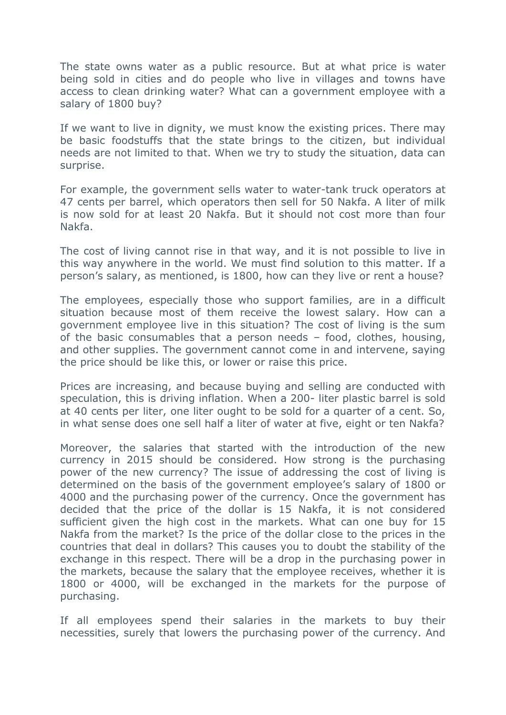The state owns water as a public resource. But at what price is water being sold in cities and do people who live in villages and towns have access to clean drinking water? What can a government employee with a salary of 1800 buy?

If we want to live in dignity, we must know the existing prices. There may be basic foodstuffs that the state brings to the citizen, but individual needs are not limited to that. When we try to study the situation, data can surprise.

For example, the government sells water to water-tank truck operators at 47 cents per barrel, which operators then sell for 50 Nakfa. A liter of milk is now sold for at least 20 Nakfa. But it should not cost more than four Nakfa.

The cost of living cannot rise in that way, and it is not possible to live in this way anywhere in the world. We must find solution to this matter. If a person's salary, as mentioned, is 1800, how can they live or rent a house?

The employees, especially those who support families, are in a difficult situation because most of them receive the lowest salary. How can a government employee live in this situation? The cost of living is the sum of the basic consumables that a person needs – food, clothes, housing, and other supplies. The government cannot come in and intervene, saying the price should be like this, or lower or raise this price.

Prices are increasing, and because buying and selling are conducted with speculation, this is driving inflation. When a 200- liter plastic barrel is sold at 40 cents per liter, one liter ought to be sold for a quarter of a cent. So, in what sense does one sell half a liter of water at five, eight or ten Nakfa?

Moreover, the salaries that started with the introduction of the new currency in 2015 should be considered. How strong is the purchasing power of the new currency? The issue of addressing the cost of living is determined on the basis of the government employee's salary of 1800 or 4000 and the purchasing power of the currency. Once the government has decided that the price of the dollar is 15 Nakfa, it is not considered sufficient given the high cost in the markets. What can one buy for 15 Nakfa from the market? Is the price of the dollar close to the prices in the countries that deal in dollars? This causes you to doubt the stability of the exchange in this respect. There will be a drop in the purchasing power in the markets, because the salary that the employee receives, whether it is 1800 or 4000, will be exchanged in the markets for the purpose of purchasing.

If all employees spend their salaries in the markets to buy their necessities, surely that lowers the purchasing power of the currency. And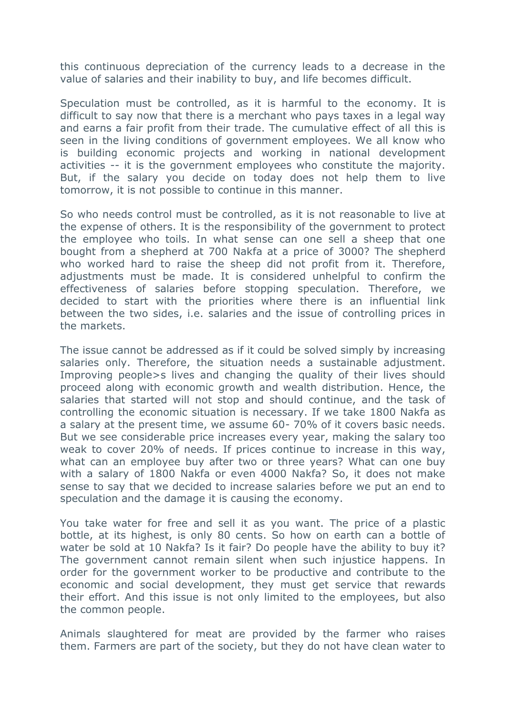this continuous depreciation of the currency leads to a decrease in the value of salaries and their inability to buy, and life becomes difficult.

Speculation must be controlled, as it is harmful to the economy. It is difficult to say now that there is a merchant who pays taxes in a legal way and earns a fair profit from their trade. The cumulative effect of all this is seen in the living conditions of government employees. We all know who is building economic projects and working in national development activities -- it is the government employees who constitute the majority. But, if the salary you decide on today does not help them to live tomorrow, it is not possible to continue in this manner.

So who needs control must be controlled, as it is not reasonable to live at the expense of others. It is the responsibility of the government to protect the employee who toils. In what sense can one sell a sheep that one bought from a shepherd at 700 Nakfa at a price of 3000? The shepherd who worked hard to raise the sheep did not profit from it. Therefore, adjustments must be made. It is considered unhelpful to confirm the effectiveness of salaries before stopping speculation. Therefore, we decided to start with the priorities where there is an influential link between the two sides, i.e. salaries and the issue of controlling prices in the markets.

The issue cannot be addressed as if it could be solved simply by increasing salaries only. Therefore, the situation needs a sustainable adjustment. Improving people>s lives and changing the quality of their lives should proceed along with economic growth and wealth distribution. Hence, the salaries that started will not stop and should continue, and the task of controlling the economic situation is necessary. If we take 1800 Nakfa as a salary at the present time, we assume 60- 70% of it covers basic needs. But we see considerable price increases every year, making the salary too weak to cover 20% of needs. If prices continue to increase in this way, what can an employee buy after two or three years? What can one buy with a salary of 1800 Nakfa or even 4000 Nakfa? So, it does not make sense to say that we decided to increase salaries before we put an end to speculation and the damage it is causing the economy.

You take water for free and sell it as you want. The price of a plastic bottle, at its highest, is only 80 cents. So how on earth can a bottle of water be sold at 10 Nakfa? Is it fair? Do people have the ability to buy it? The government cannot remain silent when such injustice happens. In order for the government worker to be productive and contribute to the economic and social development, they must get service that rewards their effort. And this issue is not only limited to the employees, but also the common people.

Animals slaughtered for meat are provided by the farmer who raises them. Farmers are part of the society, but they do not have clean water to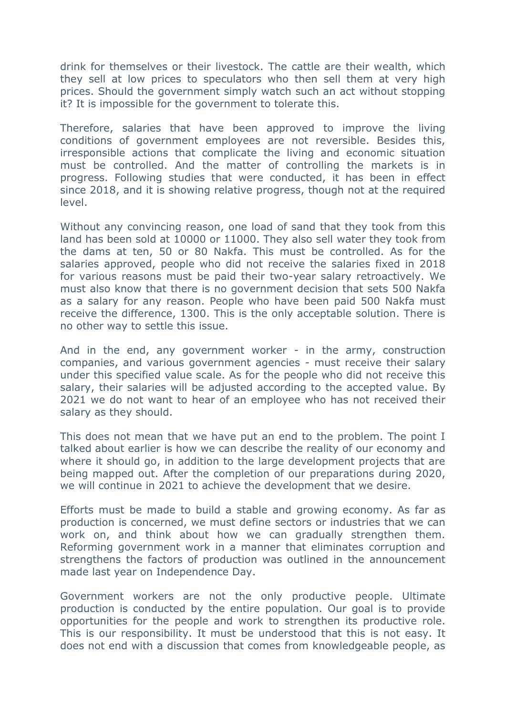drink for themselves or their livestock. The cattle are their wealth, which they sell at low prices to speculators who then sell them at very high prices. Should the government simply watch such an act without stopping it? It is impossible for the government to tolerate this.

Therefore, salaries that have been approved to improve the living conditions of government employees are not reversible. Besides this, irresponsible actions that complicate the living and economic situation must be controlled. And the matter of controlling the markets is in progress. Following studies that were conducted, it has been in effect since 2018, and it is showing relative progress, though not at the required level.

Without any convincing reason, one load of sand that they took from this land has been sold at 10000 or 11000. They also sell water they took from the dams at ten, 50 or 80 Nakfa. This must be controlled. As for the salaries approved, people who did not receive the salaries fixed in 2018 for various reasons must be paid their two-year salary retroactively. We must also know that there is no government decision that sets 500 Nakfa as a salary for any reason. People who have been paid 500 Nakfa must receive the difference, 1300. This is the only acceptable solution. There is no other way to settle this issue.

And in the end, any government worker - in the army, construction companies, and various government agencies - must receive their salary under this specified value scale. As for the people who did not receive this salary, their salaries will be adjusted according to the accepted value. By 2021 we do not want to hear of an employee who has not received their salary as they should.

This does not mean that we have put an end to the problem. The point I talked about earlier is how we can describe the reality of our economy and where it should go, in addition to the large development projects that are being mapped out. After the completion of our preparations during 2020, we will continue in 2021 to achieve the development that we desire.

Efforts must be made to build a stable and growing economy. As far as production is concerned, we must define sectors or industries that we can work on, and think about how we can gradually strengthen them. Reforming government work in a manner that eliminates corruption and strengthens the factors of production was outlined in the announcement made last year on Independence Day.

Government workers are not the only productive people. Ultimate production is conducted by the entire population. Our goal is to provide opportunities for the people and work to strengthen its productive role. This is our responsibility. It must be understood that this is not easy. It does not end with a discussion that comes from knowledgeable people, as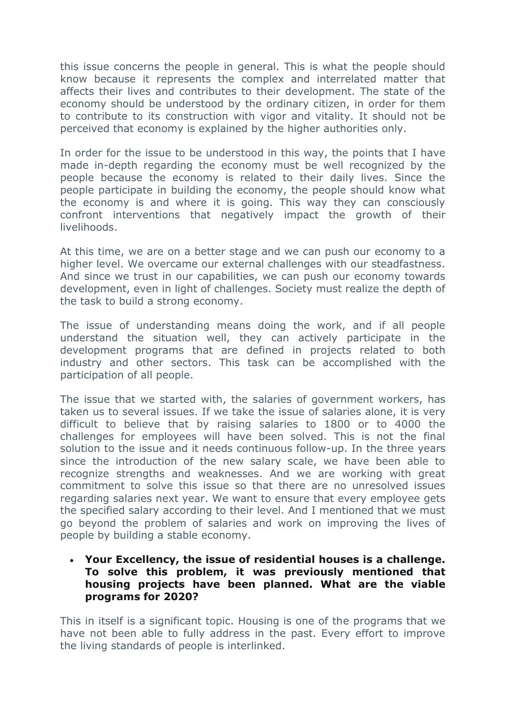this issue concerns the people in general. This is what the people should know because it represents the complex and interrelated matter that affects their lives and contributes to their development. The state of the economy should be understood by the ordinary citizen, in order for them to contribute to its construction with vigor and vitality. It should not be perceived that economy is explained by the higher authorities only.

In order for the issue to be understood in this way, the points that I have made in-depth regarding the economy must be well recognized by the people because the economy is related to their daily lives. Since the people participate in building the economy, the people should know what the economy is and where it is going. This way they can consciously confront interventions that negatively impact the growth of their livelihoods.

At this time, we are on a better stage and we can push our economy to a higher level. We overcame our external challenges with our steadfastness. And since we trust in our capabilities, we can push our economy towards development, even in light of challenges. Society must realize the depth of the task to build a strong economy.

The issue of understanding means doing the work, and if all people understand the situation well, they can actively participate in the development programs that are defined in projects related to both industry and other sectors. This task can be accomplished with the participation of all people.

The issue that we started with, the salaries of government workers, has taken us to several issues. If we take the issue of salaries alone, it is very difficult to believe that by raising salaries to 1800 or to 4000 the challenges for employees will have been solved. This is not the final solution to the issue and it needs continuous follow-up. In the three years since the introduction of the new salary scale, we have been able to recognize strengths and weaknesses. And we are working with great commitment to solve this issue so that there are no unresolved issues regarding salaries next year. We want to ensure that every employee gets the specified salary according to their level. And I mentioned that we must go beyond the problem of salaries and work on improving the lives of people by building a stable economy.

### **Your Excellency, the issue of residential houses is a challenge. To solve this problem, it was previously mentioned that housing projects have been planned. What are the viable programs for 2020?**

This in itself is a significant topic. Housing is one of the programs that we have not been able to fully address in the past. Every effort to improve the living standards of people is interlinked.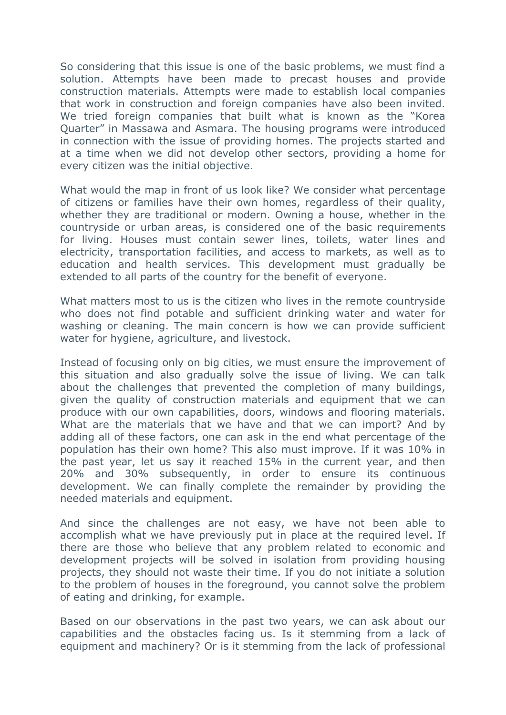So considering that this issue is one of the basic problems, we must find a solution. Attempts have been made to precast houses and provide construction materials. Attempts were made to establish local companies that work in construction and foreign companies have also been invited. We tried foreign companies that built what is known as the "Korea Quarter" in Massawa and Asmara. The housing programs were introduced in connection with the issue of providing homes. The projects started and at a time when we did not develop other sectors, providing a home for every citizen was the initial objective.

What would the map in front of us look like? We consider what percentage of citizens or families have their own homes, regardless of their quality, whether they are traditional or modern. Owning a house, whether in the countryside or urban areas, is considered one of the basic requirements for living. Houses must contain sewer lines, toilets, water lines and electricity, transportation facilities, and access to markets, as well as to education and health services. This development must gradually be extended to all parts of the country for the benefit of everyone.

What matters most to us is the citizen who lives in the remote countryside who does not find potable and sufficient drinking water and water for washing or cleaning. The main concern is how we can provide sufficient water for hygiene, agriculture, and livestock.

Instead of focusing only on big cities, we must ensure the improvement of this situation and also gradually solve the issue of living. We can talk about the challenges that prevented the completion of many buildings, given the quality of construction materials and equipment that we can produce with our own capabilities, doors, windows and flooring materials. What are the materials that we have and that we can import? And by adding all of these factors, one can ask in the end what percentage of the population has their own home? This also must improve. If it was 10% in the past year, let us say it reached 15% in the current year, and then 20% and 30% subsequently, in order to ensure its continuous development. We can finally complete the remainder by providing the needed materials and equipment.

And since the challenges are not easy, we have not been able to accomplish what we have previously put in place at the required level. If there are those who believe that any problem related to economic and development projects will be solved in isolation from providing housing projects, they should not waste their time. If you do not initiate a solution to the problem of houses in the foreground, you cannot solve the problem of eating and drinking, for example.

Based on our observations in the past two years, we can ask about our capabilities and the obstacles facing us. Is it stemming from a lack of equipment and machinery? Or is it stemming from the lack of professional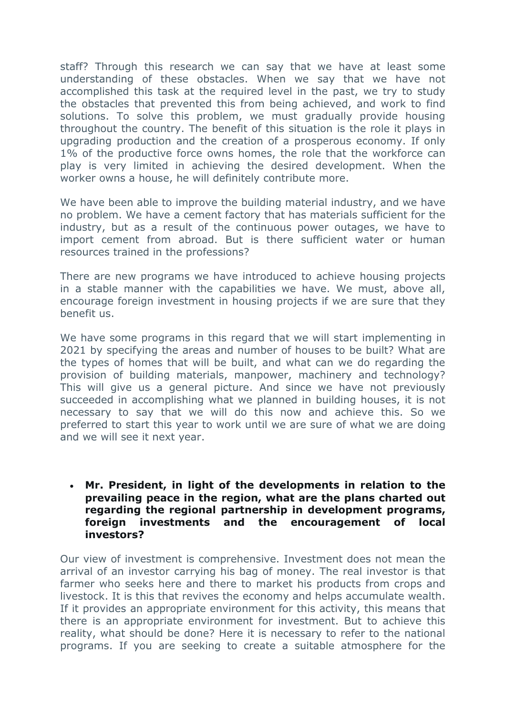staff? Through this research we can say that we have at least some understanding of these obstacles. When we say that we have not accomplished this task at the required level in the past, we try to study the obstacles that prevented this from being achieved, and work to find solutions. To solve this problem, we must gradually provide housing throughout the country. The benefit of this situation is the role it plays in upgrading production and the creation of a prosperous economy. If only 1% of the productive force owns homes, the role that the workforce can play is very limited in achieving the desired development. When the worker owns a house, he will definitely contribute more.

We have been able to improve the building material industry, and we have no problem. We have a cement factory that has materials sufficient for the industry, but as a result of the continuous power outages, we have to import cement from abroad. But is there sufficient water or human resources trained in the professions?

There are new programs we have introduced to achieve housing projects in a stable manner with the capabilities we have. We must, above all, encourage foreign investment in housing projects if we are sure that they benefit us.

We have some programs in this regard that we will start implementing in 2021 by specifying the areas and number of houses to be built? What are the types of homes that will be built, and what can we do regarding the provision of building materials, manpower, machinery and technology? This will give us a general picture. And since we have not previously succeeded in accomplishing what we planned in building houses, it is not necessary to say that we will do this now and achieve this. So we preferred to start this year to work until we are sure of what we are doing and we will see it next year.

### **Mr. President, in light of the developments in relation to the prevailing peace in the region, what are the plans charted out regarding the regional partnership in development programs, foreign investments and the encouragement of local investors?**

Our view of investment is comprehensive. Investment does not mean the arrival of an investor carrying his bag of money. The real investor is that farmer who seeks here and there to market his products from crops and livestock. It is this that revives the economy and helps accumulate wealth. If it provides an appropriate environment for this activity, this means that there is an appropriate environment for investment. But to achieve this reality, what should be done? Here it is necessary to refer to the national programs. If you are seeking to create a suitable atmosphere for the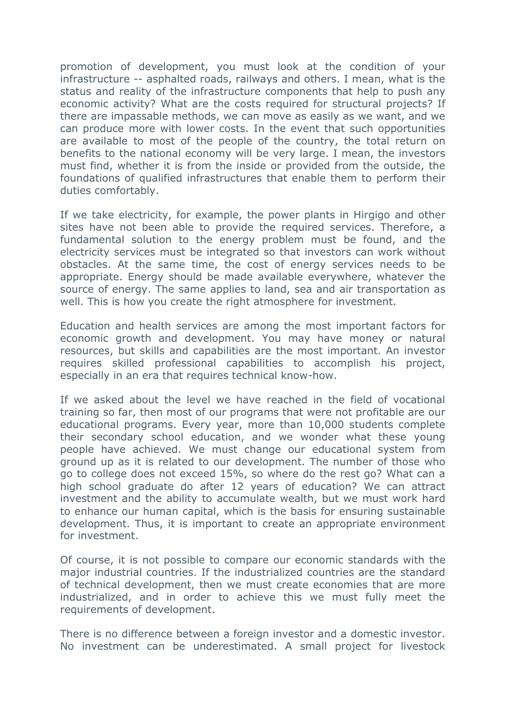promotion of development, you must look at the condition of your infrastructure -- asphalted roads, railways and others. I mean, what is the status and reality of the infrastructure components that help to push any economic activity? What are the costs required for structural projects? If there are impassable methods, we can move as easily as we want, and we can produce more with lower costs. In the event that such opportunities are available to most of the people of the country, the total return on benefits to the national economy will be very large. I mean, the investors must find, whether it is from the inside or provided from the outside, the foundations of qualified infrastructures that enable them to perform their duties comfortably.

If we take electricity, for example, the power plants in Hirgigo and other sites have not been able to provide the required services. Therefore, a fundamental solution to the energy problem must be found, and the electricity services must be integrated so that investors can work without obstacles. At the same time, the cost of energy services needs to be appropriate. Energy should be made available everywhere, whatever the source of energy. The same applies to land, sea and air transportation as well. This is how you create the right atmosphere for investment.

Education and health services are among the most important factors for economic growth and development. You may have money or natural resources, but skills and capabilities are the most important. An investor requires skilled professional capabilities to accomplish his project, especially in an era that requires technical know-how.

If we asked about the level we have reached in the field of vocational training so far, then most of our programs that were not profitable are our educational programs. Every year, more than 10,000 students complete their secondary school education, and we wonder what these young people have achieved. We must change our educational system from ground up as it is related to our development. The number of those who go to college does not exceed 15%, so where do the rest go? What can a high school graduate do after 12 years of education? We can attract investment and the ability to accumulate wealth, but we must work hard to enhance our human capital, which is the basis for ensuring sustainable development. Thus, it is important to create an appropriate environment for investment.

Of course, it is not possible to compare our economic standards with the major industrial countries. If the industrialized countries are the standard of technical development, then we must create economies that are more industrialized, and in order to achieve this we must fully meet the requirements of development.

There is no difference between a foreign investor and a domestic investor. No investment can be underestimated. A small project for livestock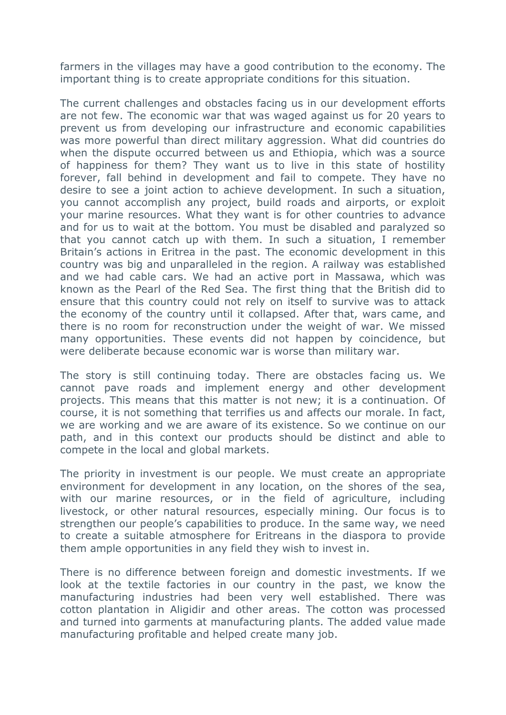farmers in the villages may have a good contribution to the economy. The important thing is to create appropriate conditions for this situation.

The current challenges and obstacles facing us in our development efforts are not few. The economic war that was waged against us for 20 years to prevent us from developing our infrastructure and economic capabilities was more powerful than direct military aggression. What did countries do when the dispute occurred between us and Ethiopia, which was a source of happiness for them? They want us to live in this state of hostility forever, fall behind in development and fail to compete. They have no desire to see a joint action to achieve development. In such a situation, you cannot accomplish any project, build roads and airports, or exploit your marine resources. What they want is for other countries to advance and for us to wait at the bottom. You must be disabled and paralyzed so that you cannot catch up with them. In such a situation, I remember Britain's actions in Eritrea in the past. The economic development in this country was big and unparalleled in the region. A railway was established and we had cable cars. We had an active port in Massawa, which was known as the Pearl of the Red Sea. The first thing that the British did to ensure that this country could not rely on itself to survive was to attack the economy of the country until it collapsed. After that, wars came, and there is no room for reconstruction under the weight of war. We missed many opportunities. These events did not happen by coincidence, but were deliberate because economic war is worse than military war.

The story is still continuing today. There are obstacles facing us. We cannot pave roads and implement energy and other development projects. This means that this matter is not new; it is a continuation. Of course, it is not something that terrifies us and affects our morale. In fact, we are working and we are aware of its existence. So we continue on our path, and in this context our products should be distinct and able to compete in the local and global markets.

The priority in investment is our people. We must create an appropriate environment for development in any location, on the shores of the sea, with our marine resources, or in the field of agriculture, including livestock, or other natural resources, especially mining. Our focus is to strengthen our people's capabilities to produce. In the same way, we need to create a suitable atmosphere for Eritreans in the diaspora to provide them ample opportunities in any field they wish to invest in.

There is no difference between foreign and domestic investments. If we look at the textile factories in our country in the past, we know the manufacturing industries had been very well established. There was cotton plantation in Aligidir and other areas. The cotton was processed and turned into garments at manufacturing plants. The added value made manufacturing profitable and helped create many job.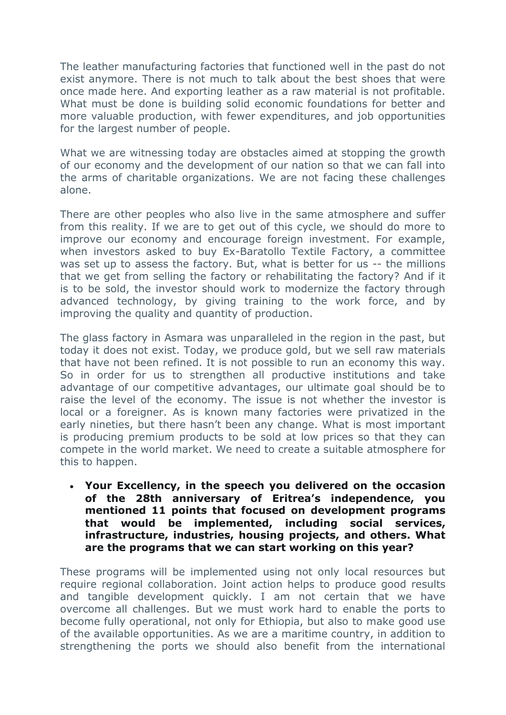The leather manufacturing factories that functioned well in the past do not exist anymore. There is not much to talk about the best shoes that were once made here. And exporting leather as a raw material is not profitable. What must be done is building solid economic foundations for better and more valuable production, with fewer expenditures, and job opportunities for the largest number of people.

What we are witnessing today are obstacles aimed at stopping the growth of our economy and the development of our nation so that we can fall into the arms of charitable organizations. We are not facing these challenges alone.

There are other peoples who also live in the same atmosphere and suffer from this reality. If we are to get out of this cycle, we should do more to improve our economy and encourage foreign investment. For example, when investors asked to buy Ex-Baratollo Textile Factory, a committee was set up to assess the factory. But, what is better for us -- the millions that we get from selling the factory or rehabilitating the factory? And if it is to be sold, the investor should work to modernize the factory through advanced technology, by giving training to the work force, and by improving the quality and quantity of production.

The glass factory in Asmara was unparalleled in the region in the past, but today it does not exist. Today, we produce gold, but we sell raw materials that have not been refined. It is not possible to run an economy this way. So in order for us to strengthen all productive institutions and take advantage of our competitive advantages, our ultimate goal should be to raise the level of the economy. The issue is not whether the investor is local or a foreigner. As is known many factories were privatized in the early nineties, but there hasn't been any change. What is most important is producing premium products to be sold at low prices so that they can compete in the world market. We need to create a suitable atmosphere for this to happen.

 **Your Excellency, in the speech you delivered on the occasion of the 28th anniversary of Eritrea's independence, you mentioned 11 points that focused on development programs that would be implemented, including social services, infrastructure, industries, housing projects, and others. What are the programs that we can start working on this year?** 

These programs will be implemented using not only local resources but require regional collaboration. Joint action helps to produce good results and tangible development quickly. I am not certain that we have overcome all challenges. But we must work hard to enable the ports to become fully operational, not only for Ethiopia, but also to make good use of the available opportunities. As we are a maritime country, in addition to strengthening the ports we should also benefit from the international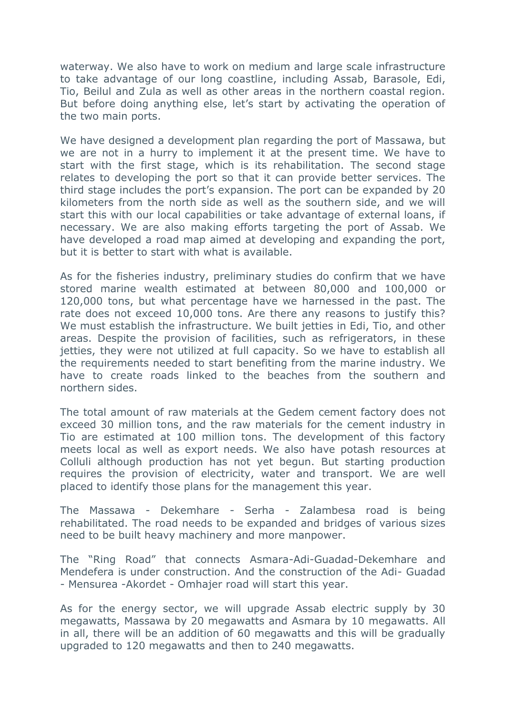waterway. We also have to work on medium and large scale infrastructure to take advantage of our long coastline, including Assab, Barasole, Edi, Tio, Beilul and Zula as well as other areas in the northern coastal region. But before doing anything else, let's start by activating the operation of the two main ports.

We have designed a development plan regarding the port of Massawa, but we are not in a hurry to implement it at the present time. We have to start with the first stage, which is its rehabilitation. The second stage relates to developing the port so that it can provide better services. The third stage includes the port's expansion. The port can be expanded by 20 kilometers from the north side as well as the southern side, and we will start this with our local capabilities or take advantage of external loans, if necessary. We are also making efforts targeting the port of Assab. We have developed a road map aimed at developing and expanding the port, but it is better to start with what is available.

As for the fisheries industry, preliminary studies do confirm that we have stored marine wealth estimated at between 80,000 and 100,000 or 120,000 tons, but what percentage have we harnessed in the past. The rate does not exceed 10,000 tons. Are there any reasons to justify this? We must establish the infrastructure. We built jetties in Edi, Tio, and other areas. Despite the provision of facilities, such as refrigerators, in these jetties, they were not utilized at full capacity. So we have to establish all the requirements needed to start benefiting from the marine industry. We have to create roads linked to the beaches from the southern and northern sides.

The total amount of raw materials at the Gedem cement factory does not exceed 30 million tons, and the raw materials for the cement industry in Tio are estimated at 100 million tons. The development of this factory meets local as well as export needs. We also have potash resources at Colluli although production has not yet begun. But starting production requires the provision of electricity, water and transport. We are well placed to identify those plans for the management this year.

The Massawa - Dekemhare - Serha - Zalambesa road is being rehabilitated. The road needs to be expanded and bridges of various sizes need to be built heavy machinery and more manpower.

The "Ring Road" that connects Asmara-Adi-Guadad-Dekemhare and Mendefera is under construction. And the construction of the Adi- Guadad - Mensurea -Akordet - Omhajer road will start this year.

As for the energy sector, we will upgrade Assab electric supply by 30 megawatts, Massawa by 20 megawatts and Asmara by 10 megawatts. All in all, there will be an addition of 60 megawatts and this will be gradually upgraded to 120 megawatts and then to 240 megawatts.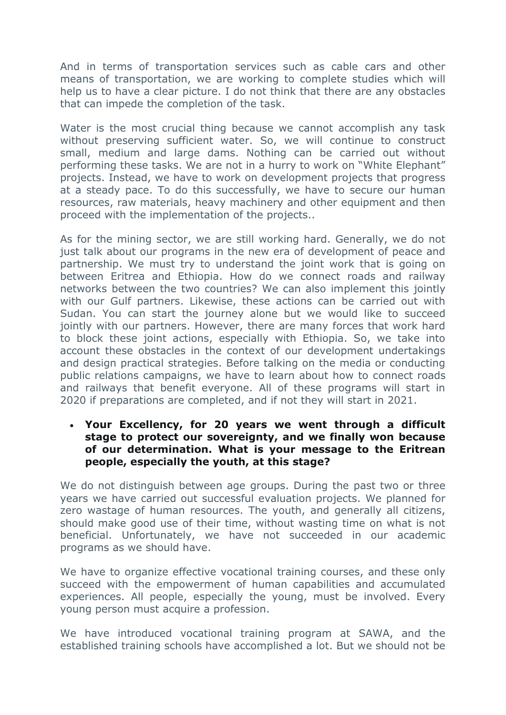And in terms of transportation services such as cable cars and other means of transportation, we are working to complete studies which will help us to have a clear picture. I do not think that there are any obstacles that can impede the completion of the task.

Water is the most crucial thing because we cannot accomplish any task without preserving sufficient water. So, we will continue to construct small, medium and large dams. Nothing can be carried out without performing these tasks. We are not in a hurry to work on "White Elephant" projects. Instead, we have to work on development projects that progress at a steady pace. To do this successfully, we have to secure our human resources, raw materials, heavy machinery and other equipment and then proceed with the implementation of the projects..

As for the mining sector, we are still working hard. Generally, we do not just talk about our programs in the new era of development of peace and partnership. We must try to understand the joint work that is going on between Eritrea and Ethiopia. How do we connect roads and railway networks between the two countries? We can also implement this jointly with our Gulf partners. Likewise, these actions can be carried out with Sudan. You can start the journey alone but we would like to succeed jointly with our partners. However, there are many forces that work hard to block these joint actions, especially with Ethiopia. So, we take into account these obstacles in the context of our development undertakings and design practical strategies. Before talking on the media or conducting public relations campaigns, we have to learn about how to connect roads and railways that benefit everyone. All of these programs will start in 2020 if preparations are completed, and if not they will start in 2021.

#### **Your Excellency, for 20 years we went through a difficult stage to protect our sovereignty, and we finally won because of our determination. What is your message to the Eritrean people, especially the youth, at this stage?**

We do not distinguish between age groups. During the past two or three years we have carried out successful evaluation projects. We planned for zero wastage of human resources. The youth, and generally all citizens, should make good use of their time, without wasting time on what is not beneficial. Unfortunately, we have not succeeded in our academic programs as we should have.

We have to organize effective vocational training courses, and these only succeed with the empowerment of human capabilities and accumulated experiences. All people, especially the young, must be involved. Every young person must acquire a profession.

We have introduced vocational training program at SAWA, and the established training schools have accomplished a lot. But we should not be